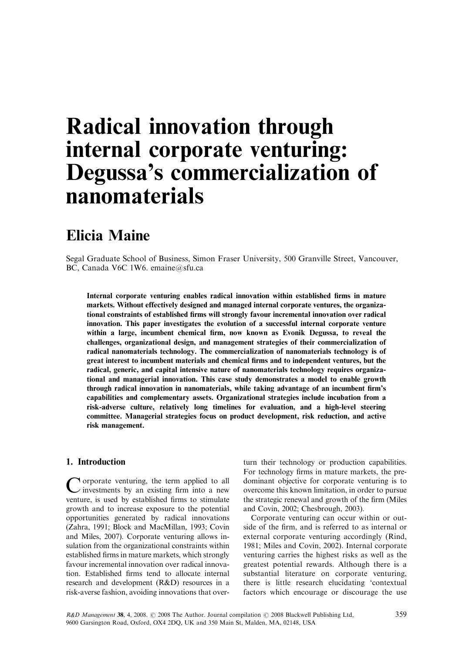# Radical innovation through internal corporate venturing: Degussa's commercialization of nanomaterials

# Elicia Maine

Segal Graduate School of Business, Simon Fraser University, 500 Granville Street, Vancouver, BC, Canada V6C 1W6. emaine@sfu.ca

Internal corporate venturing enables radical innovation within established firms in mature markets. Without effectively designed and managed internal corporate ventures, the organizational constraints of established firms will strongly favour incremental innovation over radical innovation. This paper investigates the evolution of a successful internal corporate venture within a large, incumbent chemical firm, now known as Evonik Degussa, to reveal the challenges, organizational design, and management strategies of their commercialization of radical nanomaterials technology. The commercialization of nanomaterials technology is of great interest to incumbent materials and chemical firms and to independent ventures, but the radical, generic, and capital intensive nature of nanomaterials technology requires organizational and managerial innovation. This case study demonstrates a model to enable growth through radical innovation in nanomaterials, while taking advantage of an incumbent firm's capabilities and complementary assets. Organizational strategies include incubation from a risk-adverse culture, relatively long timelines for evaluation, and a high-level steering committee. Managerial strategies focus on product development, risk reduction, and active risk management.

#### 1. Introduction

Corporate venturing, the term applied to all investments by an existing firm into a new venture, is used by established firms to stimulate growth and to increase exposure to the potential opportunities generated by radical innovations (Zahra, 1991; Block and MacMillan, 1993; Covin and Miles, 2007). Corporate venturing allows insulation from the organizational constraints within established firms in mature markets, which strongly favour incremental innovation over radical innovation. Established firms tend to allocate internal research and development (R&D) resources in a risk-averse fashion, avoiding innovations that overturn their technology or production capabilities. For technology firms in mature markets, the predominant objective for corporate venturing is to overcome this known limitation, in order to pursue the strategic renewal and growth of the firm (Miles and Covin, 2002; Chesbrough, 2003).

Corporate venturing can occur within or outside of the firm, and is referred to as internal or external corporate venturing accordingly (Rind, 1981; Miles and Covin, 2002). Internal corporate venturing carries the highest risks as well as the greatest potential rewards. Although there is a substantial literature on corporate venturing, there is little research elucidating 'contextual factors which encourage or discourage the use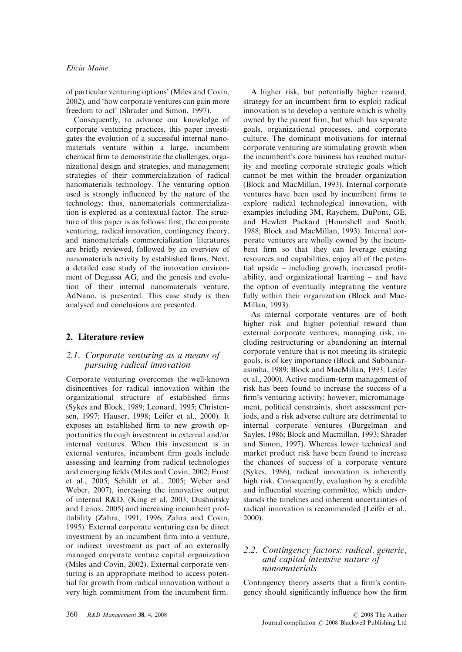#### Elicia Maine

of particular venturing options' (Miles and Covin, 2002), and 'how corporate ventures can gain more freedom to act' (Shrader and Simon, 1997).

Consequently, to advance our knowledge of corporate venturing practices, this paper investigates the evolution of a successful internal nanomaterials venture within a large, incumbent chemical firm to demonstrate the challenges, organizational design and strategies, and management strategies of their commercialization of radical nanomaterials technology. The venturing option used is strongly influenced by the nature of the technology: thus, nanomaterials commercialization is explored as a contextual factor. The structure of this paper is as follows: first, the corporate venturing, radical innovation, contingency theory, and nanomaterials commercialization literatures are briefly reviewed, followed by an overview of nanomaterials activity by established firms. Next, a detailed case study of the innovation environment of Degussa AG, and the genesis and evolution of their internal nanomaterials venture, AdNano, is presented. This case study is then analysed and conclusions are presented.

## 2. Literature review

## 2.1. Corporate venturing as a means of pursuing radical innovation

Corporate venturing overcomes the well-known disincentives for radical innovation within the organizational structure of established firms (Sykes and Block, 1989; Leonard, 1995; Christensen, 1997; Hauser, 1998; Leifer et al., 2000). It exposes an established firm to new growth opportunities through investment in external and/or internal ventures. When this investment is in external ventures, incumbent firm goals include assessing and learning from radical technologies and emerging fields (Miles and Covin, 2002; Ernst et al., 2005; Schildt et al., 2005; Weber and Weber, 2007), increasing the innovative output of internal R&D, (King et al, 2003; Dushnitsky and Lenox, 2005) and increasing incumbent profitability (Zahra, 1991, 1996; Zahra and Covin, 1995). External corporate venturing can be direct investment by an incumbent firm into a venture, or indirect investment as part of an externally managed corporate venture capital organization (Miles and Covin, 2002). External corporate venturing is an appropriate method to access potential for growth from radical innovation without a very high commitment from the incumbent firm.

A higher risk, but potentially higher reward, strategy for an incumbent firm to exploit radical innovation is to develop a venture which is wholly owned by the parent firm, but which has separate goals, organizational processes, and corporate culture. The dominant motivations for internal corporate venturing are stimulating growth when the incumbent's core business has reached maturity and meeting corporate strategic goals which cannot be met within the broader organization (Block and MacMillan, 1993). Internal corporate ventures have been used by incumbent firms to explore radical technological innovation, with examples including 3M, Raychem, DuPont, GE, and Hewlett Packard (Hounshell and Smith, 1988; Block and MacMillan, 1993). Internal corporate ventures are wholly owned by the incumbent firm so that they can leverage existing resources and capabilities, enjoy all of the potential upside – including growth, increased profitability, and organizational learning – and have the option of eventually integrating the venture fully within their organization (Block and Mac-Millan, 1993).

As internal corporate ventures are of both higher risk and higher potential reward than external corporate ventures, managing risk, including restructuring or abandoning an internal corporate venture that is not meeting its strategic goals, is of key importance (Block and Subbanarasimha, 1989; Block and MacMillan, 1993; Leifer et al., 2000). Active medium-term management of risk has been found to increase the success of a firm's venturing activity; however, micromanagement, political constraints, short assessment periods, and a risk adverse culture are detrimental to internal corporate ventures (Burgelman and Sayles, 1986; Block and Macmillan, 1993; Shrader and Simon, 1997). Whereas lower technical and market product risk have been found to increase the chances of success of a corporate venture (Sykes, 1986), radical innovation is inherently high risk. Consequently, evaluation by a credible and influential steering committee, which understands the timelines and inherent uncertainties of radical innovation is recommended (Leifer et al., 2000).

## 2.2. Contingency factors: radical, generic, and capital intensive nature of nanomaterials

Contingency theory asserts that a firm's contingency should significantly influence how the firm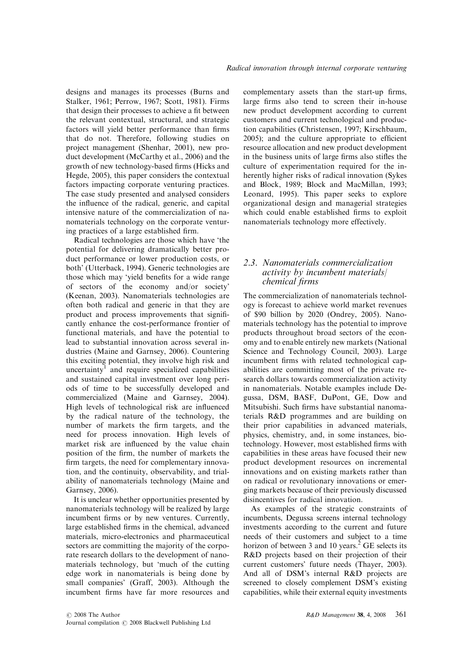designs and manages its processes (Burns and Stalker, 1961; Perrow, 1967; Scott, 1981). Firms that design their processes to achieve a fit between the relevant contextual, structural, and strategic factors will yield better performance than firms that do not. Therefore, following studies on project management (Shenhar, 2001), new product development (McCarthy et al., 2006) and the growth of new technology-based firms (Hicks and Hegde, 2005), this paper considers the contextual factors impacting corporate venturing practices. The case study presented and analysed considers the influence of the radical, generic, and capital intensive nature of the commercialization of nanomaterials technology on the corporate venturing practices of a large established firm.

Radical technologies are those which have 'the potential for delivering dramatically better product performance or lower production costs, or both' (Utterback, 1994). Generic technologies are those which may 'yield benefits for a wide range of sectors of the economy and/or society' (Keenan, 2003). Nanomaterials technologies are often both radical and generic in that they are product and process improvements that significantly enhance the cost-performance frontier of functional materials, and have the potential to lead to substantial innovation across several industries (Maine and Garnsey, 2006). Countering this exciting potential, they involve high risk and uncertainty<sup>1</sup> and require specialized capabilities and sustained capital investment over long periods of time to be successfully developed and commercialized (Maine and Garnsey, 2004). High levels of technological risk are influenced by the radical nature of the technology, the number of markets the firm targets, and the need for process innovation. High levels of market risk are influenced by the value chain position of the firm, the number of markets the firm targets, the need for complementary innovation, and the continuity, observability, and trialability of nanomaterials technology (Maine and Garnsey, 2006).

It is unclear whether opportunities presented by nanomaterials technology will be realized by large incumbent firms or by new ventures. Currently, large established firms in the chemical, advanced materials, micro-electronics and pharmaceutical sectors are committing the majority of the corporate research dollars to the development of nanomaterials technology, but 'much of the cutting edge work in nanomaterials is being done by small companies' (Graff, 2003). Although the incumbent firms have far more resources and complementary assets than the start-up firms, large firms also tend to screen their in-house new product development according to current customers and current technological and production capabilities (Christensen, 1997; Kirschbaum, 2005); and the culture appropriate to efficient resource allocation and new product development in the business units of large firms also stifles the culture of experimentation required for the inherently higher risks of radical innovation (Sykes and Block, 1989; Block and MacMillan, 1993; Leonard, 1995). This paper seeks to explore organizational design and managerial strategies which could enable established firms to exploit nanomaterials technology more effectively.

#### 2.3. Nanomaterials commercialization activity by incumbent materials/ chemical firms

The commercialization of nanomaterials technology is forecast to achieve world market revenues of \$90 billion by 2020 (Ondrey, 2005). Nanomaterials technology has the potential to improve products throughout broad sectors of the economy and to enable entirely new markets (National Science and Technology Council, 2003). Large incumbent firms with related technological capabilities are committing most of the private research dollars towards commercialization activity in nanomaterials. Notable examples include Degussa, DSM, BASF, DuPont, GE, Dow and Mitsubishi. Such firms have substantial nanomaterials R&D programmes and are building on their prior capabilities in advanced materials, physics, chemistry, and, in some instances, biotechnology. However, most established firms with capabilities in these areas have focused their new product development resources on incremental innovations and on existing markets rather than on radical or revolutionary innovations or emerging markets because of their previously discussed disincentives for radical innovation.

As examples of the strategic constraints of incumbents, Degussa screens internal technology investments according to the current and future needs of their customers and subject to a time horizon of between 3 and 10 years.<sup>2</sup> GE selects its R&D projects based on their projection of their current customers' future needs (Thayer, 2003). And all of DSM's internal R&D projects are screened to closely complement DSM's existing capabilities, while their external equity investments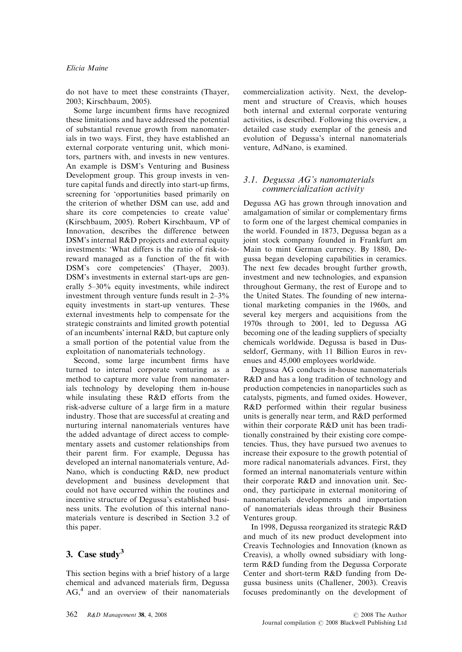do not have to meet these constraints (Thayer, 2003; Kirschbaum, 2005).

Some large incumbent firms have recognized these limitations and have addressed the potential of substantial revenue growth from nanomaterials in two ways. First, they have established an external corporate venturing unit, which monitors, partners with, and invests in new ventures. An example is DSM's Venturing and Business Development group. This group invests in venture capital funds and directly into start-up firms, screening for 'opportunities based primarily on the criterion of whether DSM can use, add and share its core competencies to create value' (Kirschbaum, 2005). Robert Kirschbaum, VP of Innovation, describes the difference between DSM's internal R&D projects and external equity investments: 'What differs is the ratio of risk-toreward managed as a function of the fit with DSM's core competencies' (Thayer, 2003). DSM's investments in external start-ups are generally 5–30% equity investments, while indirect investment through venture funds result in 2–3% equity investments in start-up ventures. These external investments help to compensate for the strategic constraints and limited growth potential of an incumbents' internal R&D, but capture only a small portion of the potential value from the exploitation of nanomaterials technology.

Second, some large incumbent firms have turned to internal corporate venturing as a method to capture more value from nanomaterials technology by developing them in-house while insulating these R&D efforts from the risk-adverse culture of a large firm in a mature industry. Those that are successful at creating and nurturing internal nanomaterials ventures have the added advantage of direct access to complementary assets and customer relationships from their parent firm. For example, Degussa has developed an internal nanomaterials venture, Ad-Nano, which is conducting R&D, new product development and business development that could not have occurred within the routines and incentive structure of Degussa's established business units. The evolution of this internal nanomaterials venture is described in Section 3.2 of this paper.

# 3. Case study<sup>3</sup>

This section begins with a brief history of a large chemical and advanced materials firm, Degussa AG,<sup>4</sup> and an overview of their nanomaterials commercialization activity. Next, the development and structure of Creavis, which houses both internal and external corporate venturing activities, is described. Following this overview, a detailed case study exemplar of the genesis and evolution of Degussa's internal nanomaterials venture, AdNano, is examined.

#### 3.1. Degussa AG's nanomaterials commercialization activity

Degussa AG has grown through innovation and amalgamation of similar or complementary firms to form one of the largest chemical companies in the world. Founded in 1873, Degussa began as a joint stock company founded in Frankfurt am Main to mint German currency. By 1880, Degussa began developing capabilities in ceramics. The next few decades brought further growth, investment and new technologies, and expansion throughout Germany, the rest of Europe and to the United States. The founding of new international marketing companies in the 1960s, and several key mergers and acquisitions from the 1970s through to 2001, led to Degussa AG becoming one of the leading suppliers of specialty chemicals worldwide. Degussa is based in Dusseldorf, Germany, with 11 Billion Euros in revenues and 45,000 employees worldwide.

Degussa AG conducts in-house nanomaterials R&D and has a long tradition of technology and production competencies in nanoparticles such as catalysts, pigments, and fumed oxides. However, R&D performed within their regular business units is generally near term, and R&D performed within their corporate R&D unit has been traditionally constrained by their existing core competencies. Thus, they have pursued two avenues to increase their exposure to the growth potential of more radical nanomaterials advances. First, they formed an internal nanomaterials venture within their corporate R&D and innovation unit. Second, they participate in external monitoring of nanomaterials developments and importation of nanomaterials ideas through their Business Ventures group.

In 1998, Degussa reorganized its strategic R&D and much of its new product development into Creavis Technologies and Innovation (known as Creavis), a wholly owned subsidiary with longterm R&D funding from the Degussa Corporate Center and short-term R&D funding from Degussa business units (Challener, 2003). Creavis focuses predominantly on the development of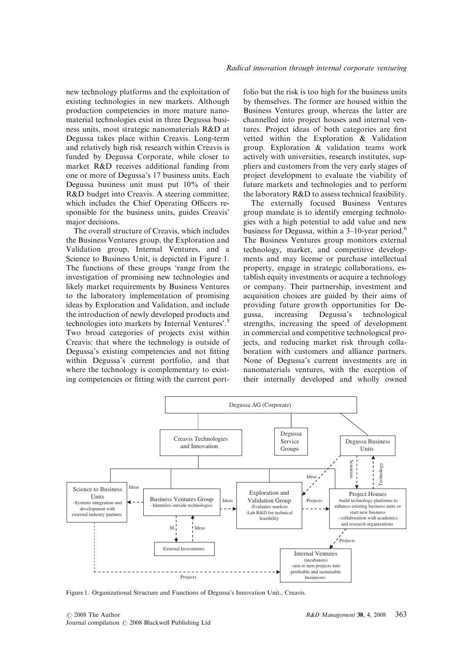new technology platforms and the exploitation of existing technologies in new markets. Although production competencies in more mature nanomaterial technologies exist in three Degussa business units, most strategic nanomaterials R&D at Degussa takes place within Creavis. Long-term and relatively high risk research within Creavis is funded by Degussa Corporate, while closer to market R&D receives additional funding from one or more of Degussa's 17 business units. Each Degussa business unit must put 10% of their R&D budget into Creavis. A steering committee, which includes the Chief Operating Officers responsible for the business units, guides Creavis' major decisions.

The overall structure of Creavis, which includes the Business Ventures group, the Exploration and Validation group, Internal Ventures, and a Science to Business Unit, is depicted in Figure 1. The functions of these groups 'range from the investigation of promising new technologies and likely market requirements by Business Ventures to the laboratory implementation of promising ideas by Exploration and Validation, and include the introduction of newly developed products and technologies into markets by Internal Ventures'.<sup>5</sup> Two broad categories of projects exist within Creavis: that where the technology is outside of Degussa's existing competencies and not fitting within Degussa's current portfolio, and that where the technology is complementary to existing competencies or fitting with the current portfolio but the risk is too high for the business units by themselves. The former are housed within the Business Ventures group, whereas the latter are channelled into project houses and internal ventures. Project ideas of both categories are first vetted within the Exploration & Validation group. Exploration & validation teams work actively with universities, research institutes, suppliers and customers from the very early stages of project development to evaluate the viability of future markets and technologies and to perform the laboratory R&D to assess technical feasibility.

The externally focused Business Ventures group mandate is to identify emerging technologies with a high potential to add value and new business for Degussa, within a  $3-10$ -year period.<sup>6</sup> The Business Ventures group monitors external technology, market, and competitive developments and may license or purchase intellectual property, engage in strategic collaborations, establish equity investments or acquire a technology or company. Their partnership, investment and acquisition choices are guided by their aims of providing future growth opportunities for Degussa, increasing Degussa's technological strengths, increasing the speed of development in commercial and competitive technological projects, and reducing market risk through collaboration with customers and alliance partners. None of Degussa's current investments are in nanomaterials ventures, with the exception of their internally developed and wholly owned



Figure 1. Organizational Structure and Functions of Degussa's Innovation Unit., Creavis.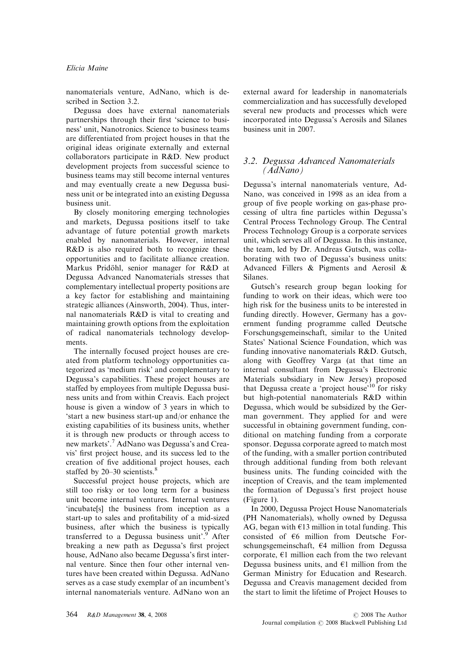nanomaterials venture, AdNano, which is described in Section 3.2.

Degussa does have external nanomaterials partnerships through their first 'science to business' unit, Nanotronics. Science to business teams are differentiated from project houses in that the original ideas originate externally and external collaborators participate in R&D. New product development projects from successful science to business teams may still become internal ventures and may eventually create a new Degussa business unit or be integrated into an existing Degussa business unit.

By closely monitoring emerging technologies and markets, Degussa positions itself to take advantage of future potential growth markets enabled by nanomaterials. However, internal R&D is also required both to recognize these opportunities and to facilitate alliance creation. Markus Pridöhl, senior manager for R&D at Degussa Advanced Nanomaterials stresses that complementary intellectual property positions are a key factor for establishing and maintaining strategic alliances (Ainsworth, 2004). Thus, internal nanomaterials R&D is vital to creating and maintaining growth options from the exploitation of radical nanomaterials technology developments.

The internally focused project houses are created from platform technology opportunities categorized as 'medium risk' and complementary to Degussa's capabilities. These project houses are staffed by employees from multiple Degussa business units and from within Creavis. Each project house is given a window of 3 years in which to 'start a new business start-up and/or enhance the existing capabilities of its business units, whether it is through new products or through access to new markets'.<sup>7</sup> AdNano was Degussa's and Creavis' first project house, and its success led to the creation of five additional project houses, each staffed by 20–30 scientists.<sup>8</sup>

Successful project house projects, which are still too risky or too long term for a business unit become internal ventures. Internal ventures 'incubate[s] the business from inception as a start-up to sales and profitability of a mid-sized business, after which the business is typically transferred to a Degussa business unit'.<sup>9</sup> After breaking a new path as Degussa's first project house, AdNano also became Degussa's first internal venture. Since then four other internal ventures have been created within Degussa. AdNano serves as a case study exemplar of an incumbent's internal nanomaterials venture. AdNano won an

external award for leadership in nanomaterials commercialization and has successfully developed several new products and processes which were incorporated into Degussa's Aerosils and Silanes business unit in 2007.

## 3.2. Degussa Advanced Nanomaterials (AdNano)

Degussa's internal nanomaterials venture, Ad-Nano, was conceived in 1998 as an idea from a group of five people working on gas-phase processing of ultra fine particles within Degussa's Central Process Technology Group. The Central Process Technology Group is a corporate services unit, which serves all of Degussa. In this instance, the team, led by Dr. Andreas Gutsch, was collaborating with two of Degussa's business units: Advanced Fillers & Pigments and Aerosil & Silanes.

Gutsch's research group began looking for funding to work on their ideas, which were too high risk for the business units to be interested in funding directly. However, Germany has a government funding programme called Deutsche Forschungsgemeinschaft, similar to the United States' National Science Foundation, which was funding innovative nanomaterials R&D. Gutsch, along with Geoffrey Varga (at that time an internal consultant from Degussa's Electronic Materials subsidiary in New Jersey) proposed that Degussa create a 'project house'<sup>10</sup> for risky but high-potential nanomaterials R&D within Degussa, which would be subsidized by the German government. They applied for and were successful in obtaining government funding, conditional on matching funding from a corporate sponsor. Degussa corporate agreed to match most of the funding, with a smaller portion contributed through additional funding from both relevant business units. The funding coincided with the inception of Creavis, and the team implemented the formation of Degussa's first project house (Figure 1).

In 2000, Degussa Project House Nanomaterials (PH Nanomaterials), wholly owned by Degussa AG, began with  $\epsilon$ 13 million in total funding. This consisted of  $66$  million from Deutsche Forschungsgemeinschaft,  $64$  million from Degussa corporate,  $\epsilon$ 1 million each from the two relevant Degussa business units, and  $\epsilon$ 1 million from the German Ministry for Education and Research. Degussa and Creavis management decided from the start to limit the lifetime of Project Houses to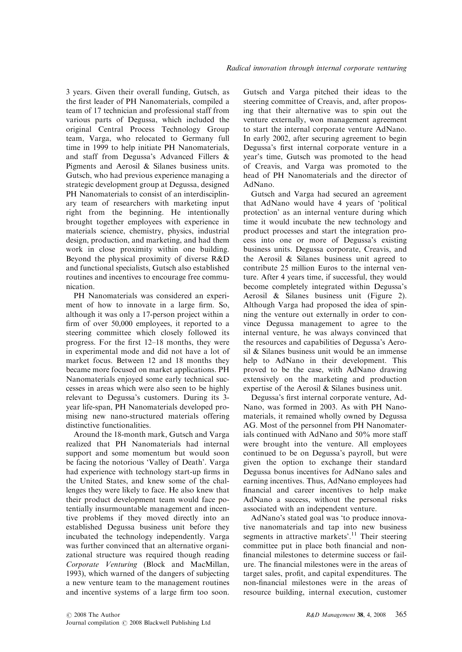3 years. Given their overall funding, Gutsch, as the first leader of PH Nanomaterials, compiled a team of 17 technician and professional staff from various parts of Degussa, which included the original Central Process Technology Group team, Varga, who relocated to Germany full time in 1999 to help initiate PH Nanomaterials, and staff from Degussa's Advanced Fillers & Pigments and Aerosil & Silanes business units. Gutsch, who had previous experience managing a strategic development group at Degussa, designed PH Nanomaterials to consist of an interdisciplinary team of researchers with marketing input right from the beginning. He intentionally brought together employees with experience in materials science, chemistry, physics, industrial design, production, and marketing, and had them work in close proximity within one building. Beyond the physical proximity of diverse R&D and functional specialists, Gutsch also established routines and incentives to encourage free communication.

PH Nanomaterials was considered an experiment of how to innovate in a large firm. So, although it was only a 17-person project within a firm of over 50,000 employees, it reported to a steering committee which closely followed its progress. For the first 12–18 months, they were in experimental mode and did not have a lot of market focus. Between 12 and 18 months they became more focused on market applications. PH Nanomaterials enjoyed some early technical successes in areas which were also seen to be highly relevant to Degussa's customers. During its 3 year life-span, PH Nanomaterials developed promising new nano-structured materials offering distinctive functionalities.

Around the 18-month mark, Gutsch and Varga realized that PH Nanomaterials had internal support and some momentum but would soon be facing the notorious 'Valley of Death'. Varga had experience with technology start-up firms in the United States, and knew some of the challenges they were likely to face. He also knew that their product development team would face potentially insurmountable management and incentive problems if they moved directly into an established Degussa business unit before they incubated the technology independently. Varga was further convinced that an alternative organizational structure was required though reading Corporate Venturing (Block and MacMillan, 1993), which warned of the dangers of subjecting a new venture team to the management routines and incentive systems of a large firm too soon.

Gutsch and Varga pitched their ideas to the steering committee of Creavis, and, after proposing that their alternative was to spin out the venture externally, won management agreement to start the internal corporate venture AdNano. In early 2002, after securing agreement to begin Degussa's first internal corporate venture in a year's time, Gutsch was promoted to the head of Creavis, and Varga was promoted to the head of PH Nanomaterials and the director of AdNano.

Gutsch and Varga had secured an agreement that AdNano would have 4 years of 'political protection' as an internal venture during which time it would incubate the new technology and product processes and start the integration process into one or more of Degussa's existing business units. Degussa corporate, Creavis, and the Aerosil & Silanes business unit agreed to contribute 25 million Euros to the internal venture. After 4 years time, if successful, they would become completely integrated within Degussa's Aerosil & Silanes business unit (Figure 2). Although Varga had proposed the idea of spinning the venture out externally in order to convince Degussa management to agree to the internal venture, he was always convinced that the resources and capabilities of Degussa's Aerosil & Silanes business unit would be an immense help to AdNano in their development. This proved to be the case, with AdNano drawing extensively on the marketing and production expertise of the Aerosil & Silanes business unit.

Degussa's first internal corporate venture, Ad-Nano, was formed in 2003. As with PH Nanomaterials, it remained wholly owned by Degussa AG. Most of the personnel from PH Nanomaterials continued with AdNano and 50% more staff were brought into the venture. All employees continued to be on Degussa's payroll, but were given the option to exchange their standard Degussa bonus incentives for AdNano sales and earning incentives. Thus, AdNano employees had financial and career incentives to help make AdNano a success, without the personal risks associated with an independent venture.

AdNano's stated goal was 'to produce innovative nanomaterials and tap into new business segments in attractive markets'.<sup>11</sup> Their steering committee put in place both financial and nonfinancial milestones to determine success or failure. The financial milestones were in the areas of target sales, profit, and capital expenditures. The non-financial milestones were in the areas of resource building, internal execution, customer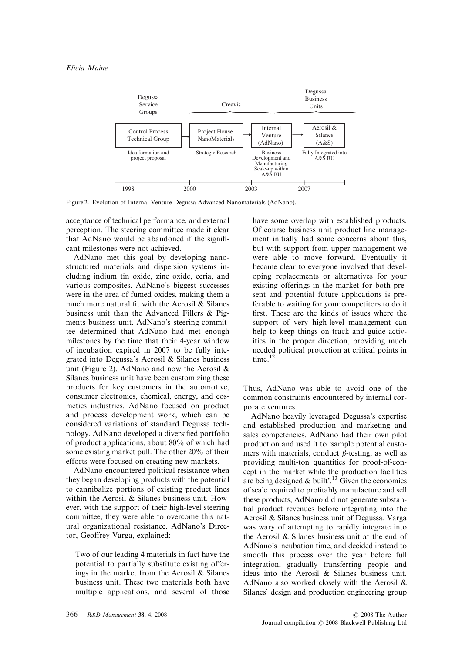

Figure 2. Evolution of Internal Venture Degussa Advanced Nanomaterials (AdNano).

acceptance of technical performance, and external perception. The steering committee made it clear that AdNano would be abandoned if the significant milestones were not achieved.

AdNano met this goal by developing nanostructured materials and dispersion systems including indium tin oxide, zinc oxide, ceria, and various composites. AdNano's biggest successes were in the area of fumed oxides, making them a much more natural fit with the Aerosil & Silanes business unit than the Advanced Fillers & Pigments business unit. AdNano's steering committee determined that AdNano had met enough milestones by the time that their 4-year window of incubation expired in 2007 to be fully integrated into Degussa's Aerosil & Silanes business unit (Figure 2). AdNano and now the Aerosil & Silanes business unit have been customizing these products for key customers in the automotive, consumer electronics, chemical, energy, and cosmetics industries. AdNano focused on product and process development work, which can be considered variations of standard Degussa technology. AdNano developed a diversified portfolio of product applications, about 80% of which had some existing market pull. The other 20% of their efforts were focused on creating new markets.

AdNano encountered political resistance when they began developing products with the potential to cannibalize portions of existing product lines within the Aerosil & Silanes business unit. However, with the support of their high-level steering committee, they were able to overcome this natural organizational resistance. AdNano's Director, Geoffrey Varga, explained:

Two of our leading 4 materials in fact have the potential to partially substitute existing offerings in the market from the Aerosil & Silanes business unit. These two materials both have multiple applications, and several of those

have some overlap with established products. Of course business unit product line management initially had some concerns about this, but with support from upper management we were able to move forward. Eventually it became clear to everyone involved that developing replacements or alternatives for your existing offerings in the market for both present and potential future applications is preferable to waiting for your competitors to do it first. These are the kinds of issues where the support of very high-level management can help to keep things on track and guide activities in the proper direction, providing much needed political protection at critical points in time.<sup>12</sup>

Thus, AdNano was able to avoid one of the common constraints encountered by internal corporate ventures.

AdNano heavily leveraged Degussa's expertise and established production and marketing and sales competencies. AdNano had their own pilot production and used it to 'sample potential customers with materials, conduct  $\beta$ -testing, as well as providing multi-ton quantities for proof-of-concept in the market while the production facilities are being designed  $\&$  built'.<sup>13</sup> Given the economies of scale required to profitably manufacture and sell these products, AdNano did not generate substantial product revenues before integrating into the Aerosil & Silanes business unit of Degussa. Varga was wary of attempting to rapidly integrate into the Aerosil & Silanes business unit at the end of AdNano's incubation time, and decided instead to smooth this process over the year before full integration, gradually transferring people and ideas into the Aerosil & Silanes business unit. AdNano also worked closely with the Aerosil & Silanes' design and production engineering group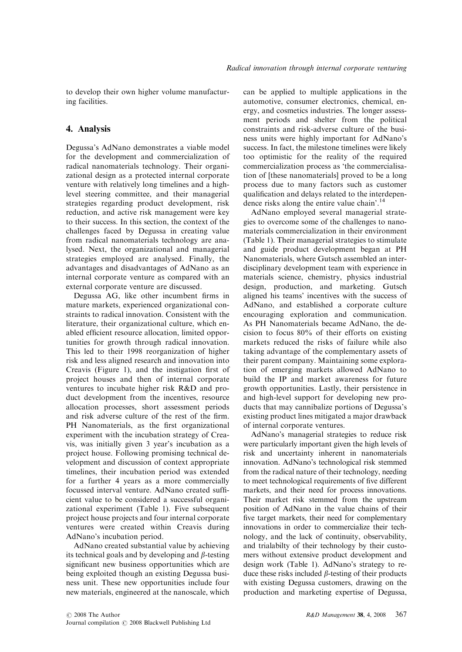to develop their own higher volume manufacturing facilities.

#### 4. Analysis

Degussa's AdNano demonstrates a viable model for the development and commercialization of radical nanomaterials technology. Their organizational design as a protected internal corporate venture with relatively long timelines and a highlevel steering committee, and their managerial strategies regarding product development, risk reduction, and active risk management were key to their success. In this section, the context of the challenges faced by Degussa in creating value from radical nanomaterials technology are analysed. Next, the organizational and managerial strategies employed are analysed. Finally, the advantages and disadvantages of AdNano as an internal corporate venture as compared with an external corporate venture are discussed.

Degussa AG, like other incumbent firms in mature markets, experienced organizational constraints to radical innovation. Consistent with the literature, their organizational culture, which enabled efficient resource allocation, limited opportunities for growth through radical innovation. This led to their 1998 reorganization of higher risk and less aligned research and innovation into Creavis (Figure 1), and the instigation first of project houses and then of internal corporate ventures to incubate higher risk R&D and product development from the incentives, resource allocation processes, short assessment periods and risk adverse culture of the rest of the firm. PH Nanomaterials, as the first organizational experiment with the incubation strategy of Creavis, was initially given 3 year's incubation as a project house. Following promising technical development and discussion of context appropriate timelines, their incubation period was extended for a further 4 years as a more commercially focussed interval venture. AdNano created sufficient value to be considered a successful organizational experiment (Table 1). Five subsequent project house projects and four internal corporate ventures were created within Creavis during AdNano's incubation period.

AdNano created substantial value by achieving its technical goals and by developing and  $\beta$ -testing significant new business opportunities which are being exploited though an existing Degussa business unit. These new opportunities include four new materials, engineered at the nanoscale, which

can be applied to multiple applications in the automotive, consumer electronics, chemical, energy, and cosmetics industries. The longer assessment periods and shelter from the political constraints and risk-adverse culture of the business units were highly important for AdNano's success. In fact, the milestone timelines were likely too optimistic for the reality of the required commercialization process as 'the commercialisation of [these nanomaterials] proved to be a long process due to many factors such as customer qualification and delays related to the interdependence risks along the entire value chain'.<sup>14</sup>

AdNano employed several managerial strategies to overcome some of the challenges to nanomaterials commercialization in their environment (Table 1). Their managerial strategies to stimulate and guide product development began at PH Nanomaterials, where Gutsch assembled an interdisciplinary development team with experience in materials science, chemistry, physics industrial design, production, and marketing. Gutsch aligned his teams' incentives with the success of AdNano, and established a corporate culture encouraging exploration and communication. As PH Nanomaterials became AdNano, the decision to focus 80% of their efforts on existing markets reduced the risks of failure while also taking advantage of the complementary assets of their parent company. Maintaining some exploration of emerging markets allowed AdNano to build the IP and market awareness for future growth opportunities. Lastly, their persistence in and high-level support for developing new products that may cannibalize portions of Degussa's existing product lines mitigated a major drawback of internal corporate ventures.

AdNano's managerial strategies to reduce risk were particularly important given the high levels of risk and uncertainty inherent in nanomaterials innovation. AdNano's technological risk stemmed from the radical nature of their technology, needing to meet technological requirements of five different markets, and their need for process innovations. Their market risk stemmed from the upstream position of AdNano in the value chains of their five target markets, their need for complementary innovations in order to commercialize their technology, and the lack of continuity, observability, and trialabilty of their technology by their customers without extensive product development and design work (Table 1). AdNano's strategy to reduce these risks included  $\beta$ -testing of their products with existing Degussa customers, drawing on the production and marketing expertise of Degussa,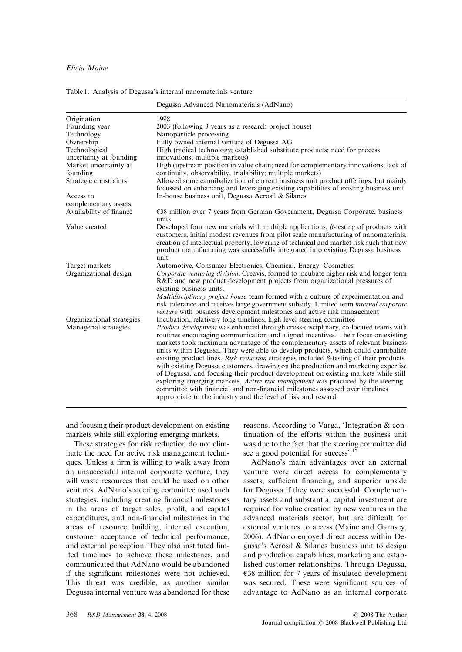#### Elicia Maine

|  |  |  |  | Table 1. Analysis of Degussa's internal nanomaterials venture |
|--|--|--|--|---------------------------------------------------------------|
|--|--|--|--|---------------------------------------------------------------|

|                                                    | Degussa Advanced Nanomaterials (AdNano)                                                                                                                                                                                                                                                                                                                                                                                                                                                                                                                                                                                                                                                                                                                                                                                                                                                                                                            |
|----------------------------------------------------|----------------------------------------------------------------------------------------------------------------------------------------------------------------------------------------------------------------------------------------------------------------------------------------------------------------------------------------------------------------------------------------------------------------------------------------------------------------------------------------------------------------------------------------------------------------------------------------------------------------------------------------------------------------------------------------------------------------------------------------------------------------------------------------------------------------------------------------------------------------------------------------------------------------------------------------------------|
| Origination<br>Founding year<br>Technology         | 1998<br>2003 (following 3 years as a research project house)<br>Nanoparticle processing                                                                                                                                                                                                                                                                                                                                                                                                                                                                                                                                                                                                                                                                                                                                                                                                                                                            |
| Ownership                                          | Fully owned internal venture of Degussa AG                                                                                                                                                                                                                                                                                                                                                                                                                                                                                                                                                                                                                                                                                                                                                                                                                                                                                                         |
| Technological                                      | High (radical technology; established substitute products; need for process                                                                                                                                                                                                                                                                                                                                                                                                                                                                                                                                                                                                                                                                                                                                                                                                                                                                        |
| uncertainty at founding                            | innovations; multiple markets)                                                                                                                                                                                                                                                                                                                                                                                                                                                                                                                                                                                                                                                                                                                                                                                                                                                                                                                     |
| Market uncertainty at<br>founding                  | High (upstream position in value chain; need for complementary innovations; lack of<br>continuity, observability, trialability; multiple markets)                                                                                                                                                                                                                                                                                                                                                                                                                                                                                                                                                                                                                                                                                                                                                                                                  |
| Strategic constraints                              | Allowed some cannibalization of current business unit product offerings, but mainly<br>focussed on enhancing and leveraging existing capabilities of existing business unit                                                                                                                                                                                                                                                                                                                                                                                                                                                                                                                                                                                                                                                                                                                                                                        |
| Access to                                          | In-house business unit, Degussa Aerosil & Silanes                                                                                                                                                                                                                                                                                                                                                                                                                                                                                                                                                                                                                                                                                                                                                                                                                                                                                                  |
| complementary assets                               |                                                                                                                                                                                                                                                                                                                                                                                                                                                                                                                                                                                                                                                                                                                                                                                                                                                                                                                                                    |
| Availability of finance                            | €38 million over 7 years from German Government, Degussa Corporate, business<br>units                                                                                                                                                                                                                                                                                                                                                                                                                                                                                                                                                                                                                                                                                                                                                                                                                                                              |
| Value created                                      | Developed four new materials with multiple applications, $\beta$ -testing of products with<br>customers, initial modest revenues from pilot scale manufacturing of nanomaterials,<br>creation of intellectual property, lowering of technical and market risk such that new<br>product manufacturing was successfully integrated into existing Degussa business<br>unit                                                                                                                                                                                                                                                                                                                                                                                                                                                                                                                                                                            |
| Target markets                                     | Automotive, Consumer Electronics, Chemical, Energy, Cosmetics                                                                                                                                                                                                                                                                                                                                                                                                                                                                                                                                                                                                                                                                                                                                                                                                                                                                                      |
| Organizational design                              | Corporate venturing division, Creavis, formed to incubate higher risk and longer term<br>R&D and new product development projects from organizational pressures of<br>existing business units.                                                                                                                                                                                                                                                                                                                                                                                                                                                                                                                                                                                                                                                                                                                                                     |
|                                                    | Multidisciplinary project house team formed with a culture of experimentation and<br>risk tolerance and receives large government subsidy. Limited term internal corporate<br>venture with business development milestones and active risk management                                                                                                                                                                                                                                                                                                                                                                                                                                                                                                                                                                                                                                                                                              |
| Organizational strategies<br>Managerial strategies | Incubation, relatively long timelines, high level steering committee<br><i>Product development</i> was enhanced through cross-disciplinary, co-located teams with<br>routines encouraging communication and aligned incentives. Their focus on existing<br>markets took maximum advantage of the complementary assets of relevant business<br>units within Degussa. They were able to develop products, which could cannibalize<br>existing product lines. Risk reduction strategies included $\beta$ -testing of their products<br>with existing Degussa customers, drawing on the production and marketing expertise<br>of Degussa, and focusing their product development on existing markets while still<br>exploring emerging markets. Active risk management was practiced by the steering<br>committee with financial and non-financial milestones assessed over timelines<br>appropriate to the industry and the level of risk and reward. |

and focusing their product development on existing markets while still exploring emerging markets.

These strategies for risk reduction do not eliminate the need for active risk management techniques. Unless a firm is willing to walk away from an unsuccessful internal corporate venture, they will waste resources that could be used on other ventures. AdNano's steering committee used such strategies, including creating financial milestones in the areas of target sales, profit, and capital expenditures, and non-financial milestones in the areas of resource building, internal execution, customer acceptance of technical performance, and external perception. They also instituted limited timelines to achieve these milestones, and communicated that AdNano would be abandoned if the significant milestones were not achieved. This threat was credible, as another similar Degussa internal venture was abandoned for these

reasons. According to Varga, 'Integration & continuation of the efforts within the business unit was due to the fact that the steering committee did see a good potential for success'.<sup>1</sup>

AdNano's main advantages over an external venture were direct access to complementary assets, sufficient financing, and superior upside for Degussa if they were successful. Complementary assets and substantial capital investment are required for value creation by new ventures in the advanced materials sector, but are difficult for external ventures to access (Maine and Garnsey, 2006). AdNano enjoyed direct access within Degussa's Aerosil & Silanes business unit to design and production capabilities, marketing and established customer relationships. Through Degussa,  $638$  million for 7 years of insulated development was secured. These were significant sources of advantage to AdNano as an internal corporate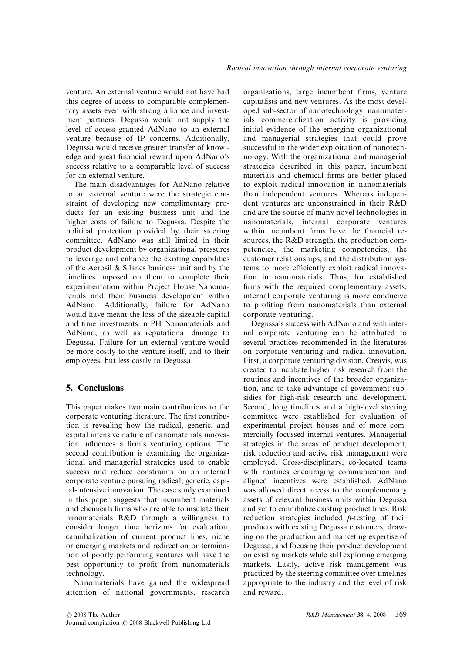venture. An external venture would not have had this degree of access to comparable complementary assets even with strong alliance and investment partners. Degussa would not supply the level of access granted AdNano to an external venture because of IP concerns. Additionally, Degussa would receive greater transfer of knowledge and great financial reward upon AdNano's success relative to a comparable level of success for an external venture.

The main disadvantages for AdNano relative to an external venture were the strategic constraint of developing new complimentary products for an existing business unit and the higher costs of failure to Degussa. Despite the political protection provided by their steering committee, AdNano was still limited in their product development by organizational pressures to leverage and enhance the existing capabilities of the Aerosil & Silanes business unit and by the timelines imposed on them to complete their experimentation within Project House Nanomaterials and their business development within AdNano. Additionally, failure for AdNano would have meant the loss of the sizeable capital and time investments in PH Nanomaterials and AdNano, as well as reputational damage to Degussa. Failure for an external venture would be more costly to the venture itself, and to their employees, but less costly to Degussa.

# 5. Conclusions

This paper makes two main contributions to the corporate venturing literature. The first contribution is revealing how the radical, generic, and capital intensive nature of nanomaterials innovation influences a firm's venturing options. The second contribution is examining the organizational and managerial strategies used to enable success and reduce constraints on an internal corporate venture pursuing radical, generic, capital-intensive innovation. The case study examined in this paper suggests that incumbent materials and chemicals firms who are able to insulate their nanomaterials R&D through a willingness to consider longer time horizons for evaluation, cannibalization of current product lines, niche or emerging markets and redirection or termination of poorly performing ventures will have the best opportunity to profit from nanomaterials technology.

Nanomaterials have gained the widespread attention of national governments, research

organizations, large incumbent firms, venture capitalists and new ventures. As the most developed sub-sector of nanotechnology, nanomaterials commercialization activity is providing initial evidence of the emerging organizational and managerial strategies that could prove successful in the wider exploitation of nanotechnology. With the organizational and managerial strategies described in this paper, incumbent materials and chemical firms are better placed to exploit radical innovation in nanomaterials than independent ventures. Whereas independent ventures are unconstrained in their R&D and are the source of many novel technologies in nanomaterials, internal corporate ventures within incumbent firms have the financial resources, the R&D strength, the production competencies, the marketing competencies, the customer relationships, and the distribution systems to more efficiently exploit radical innovation in nanomaterials. Thus, for established firms with the required complementary assets, internal corporate venturing is more conducive to profiting from nanomaterials than external corporate venturing.

Degussa's success with AdNano and with internal corporate venturing can be attributed to several practices recommended in the literatures on corporate venturing and radical innovation. First, a corporate venturing division, Creavis, was created to incubate higher risk research from the routines and incentives of the broader organization, and to take advantage of government subsidies for high-risk research and development. Second, long timelines and a high-level steering committee were established for evaluation of experimental project houses and of more commercially focussed internal ventures. Managerial strategies in the areas of product development, risk reduction and active risk management were employed. Cross-disciplinary, co-located teams with routines encouraging communication and aligned incentives were established. AdNano was allowed direct access to the complementary assets of relevant business units within Degussa and yet to cannibalize existing product lines. Risk reduction strategies included  $\beta$ -testing of their products with existing Degussa customers, drawing on the production and marketing expertise of Degussa, and focusing their product development on existing markets while still exploring emerging markets. Lastly, active risk management was practiced by the steering committee over timelines appropriate to the industry and the level of risk and reward.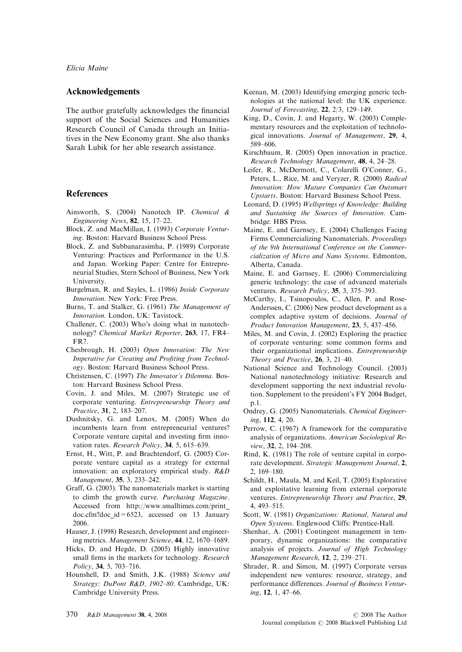#### Acknowledgements

The author gratefully acknowledges the financial support of the Social Sciences and Humanities Research Council of Canada through an Initiatives in the New Economy grant. She also thanks Sarah Lubik for her able research assistance.

#### References

- Ainsworth, S. (2004) Nanotech IP. Chemical & Engineering News, 82, 15, 17–22.
- Block, Z. and MacMillan, I. (1993) Corporate Venturing. Boston: Harvard Business School Press.
- Block, Z. and Subbanarasimha, P. (1989) Corporate Venturing: Practices and Performance in the U.S. and Japan. Working Paper: Centre for Entrepreneurial Studies, Stern School of Business, New York University.
- Burgelman, R. and Sayles, L. (1986) Inside Corporate Innovation. New York: Free Press.
- Burns, T. and Stalker, G. (1961) The Management of Innovation. London, UK: Tavistock.
- Challener, C. (2003) Who's doing what in nanotechnology? Chemical Market Reporter, 263, 17, FR4– FR7.
- Chesbrough, H. (2003) Open Innovation: The New Imperative for Creating and Profiting from Technology. Boston: Harvard Business School Press.
- Christensen, C. (1997) The Innovator's Dilemma. Boston: Harvard Business School Press.
- Covin, J. and Miles, M. (2007) Strategic use of corporate venturing. Entrepreneurship Theory and Practice, 31, 2, 183–207.
- Dushnitsky, G. and Lenox, M. (2005) When do incumbents learn from entrepreneurial ventures? Corporate venture capital and investing firm innovation rates. Research Policy, 34, 5, 615–639.
- Ernst, H., Witt, P. and Brachtendorf, G. (2005) Corporate venture capital as a strategy for external innovation: an exploratory empirical study. R&D Management, 35, 3, 233–242.
- Graff, G. (2003). The nanomaterials market is starting to climb the growth curve. Purchasing Magazine. Accessed from http://www.smalltimes.com/print\_ doc.cfm?doc id=6523, accessed on 13 January 2006.
- Hauser, J. (1998) Research, development and engineering metrics. Management Science, 44, 12, 1670–1689.
- Hicks, D. and Hegde, D. (2005) Highly innovative small firms in the markets for technology. Research Policy, 34, 5, 703–716.
- Hounshell, D. and Smith, J.K. (1988) Science and Strategy: DuPont R&D, 1902–80. Cambridge, UK: Cambridge University Press.
- Keenan, M. (2003) Identifying emerging generic technologies at the national level: the UK experience. Journal of Forecasting, 22, 2/3, 129–149.
- King, D., Covin, J. and Hegarty, W. (2003) Complementary resources and the exploitation of technological innovations. Journal of Management, 29, 4, 589–606.
- Kirschbaum, R. (2005) Open innovation in practice. Research Technology Management, 48, 4, 24–28.
- Leifer, R., McDermott, C., Colarelli O'Conner, G., Peters, L., Rice, M. and Veryzer, R. (2000) Radical Innovation: How Mature Companies Can Outsmart Upstarts. Boston: Harvard Business School Press.
- Leonard, D. (1995) Wellsprings of Knowledge: Building and Sustaining the Sources of Innovation. Cambridge: HBS Press.
- Maine, E. and Garnsey, E. (2004) Challenges Facing Firms Commercializing Nanomaterials. Proceedings of the 9th International Conference on the Commercialization of Micro and Nano Systems. Edmonton, Alberta, Canada.
- Maine, E. and Garnsey, E. (2006) Commercializing generic technology: the case of advanced materials ventures. Research Policy, 35, 3, 375-393.
- McCarthy, I., Tsinopoulos, C., Allen, P. and Rose-Anderssen, C. (2006) New product development as a complex adaptive system of decisions. Journal of Product Innovation Management, 23, 5, 437–456.
- Miles, M. and Covin, J. (2002) Exploring the practice of corporate venturing: some common forms and their organizational implications. Entrepreneurship Theory and Practice, 26, 3, 21–40.
- National Science and Technology Council. (2003) National nanotechnology initiative: Research and development supporting the next industrial revolution. Supplement to the president's FY 2004 Budget, p.1.
- Ondrey, G. (2005) Nanomaterials. Chemical Engineering, 112, 4, 20.
- Perrow, C. (1967) A framework for the comparative analysis of organizations. American Sociological Review, 32, 2, 194–208.
- Rind, K. (1981) The role of venture capital in corporate development. Strategic Management Journal, 2, 2, 169–180.
- Schildt, H., Maula, M. and Keil, T. (2005) Explorative and exploitative learning from external corporate ventures. Entrepreneurship Theory and Practice, 29, 4, 493–515.
- Scott, W. (1981) Organizations: Rational, Natural and Open Systems. Englewood Cliffs: Prentice-Hall.
- Shenhar, A. (2001) Contingent management in temporary, dynamic organizations: the comparative analysis of projects. Journal of High Technology Management Research, 12, 2, 239–271.
- Shrader, R. and Simon, M. (1997) Corporate versus independent new ventures: resource, strategy, and performance differences. Journal of Business Venturing, 12, 1, 47–66.